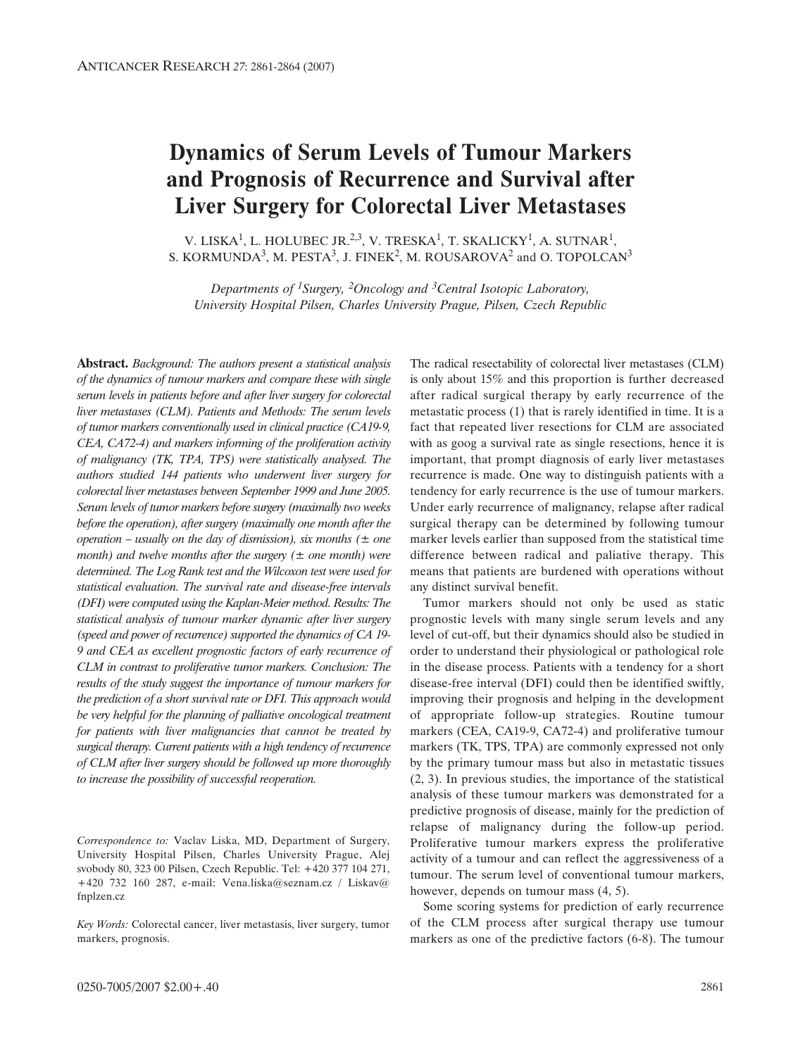# **Dynamics of Serum Levels of Tumour Markers and Prognosis of Recurrence and Survival after Liver Surgery for Colorectal Liver Metastases**

V. LISKA<sup>1</sup>, L. HOLUBEC JR.<sup>2,3</sup>, V. TRESKA<sup>1</sup>, T. SKALICKY<sup>1</sup>, A. SUTNAR<sup>1</sup>, S. KORMUNDA<sup>3</sup>, M. PESTA<sup>3</sup>, J. FINEK<sup>2</sup>, M. ROUSAROVA<sup>2</sup> and O. TOPOLCAN<sup>3</sup>

*Departments of 1Surgery, 2Oncology and 3Central Isotopic Laboratory, University Hospital Pilsen, Charles University Prague, Pilsen, Czech Republic*

**Abstract.** *Background: The authors present a statistical analysis of the dynamics of tumour markers and compare these with single serum levels in patients before and after liver surgery for colorectal liver metastases (CLM). Patients and Methods: The serum levels of tumor markers conventionally used in clinical practice (CA19-9, CEA, CA72-4) and markers informing of the proliferation activity of malignancy (TK, TPA, TPS) were statistically analysed. The authors studied 144 patients who underwent liver surgery for colorectal liver metastases between September 1999 and June 2005. Serum levels of tumor markers before surgery (maximally two weeks before the operation), after surgery (maximally one month after the operation – usually on the day of dismission), six months (± one month) and twelve months after the surgery (± one month) were determined. The Log Rank test and the Wilcoxon test were used for statistical evaluation. The survival rate and disease-free intervals (DFI) were computed using the Kaplan-Meier method. Results: The statistical analysis of tumour marker dynamic after liver surgery (speed and power of recurrence) supported the dynamics of CA 19- 9 and CEA as excellent prognostic factors of early recurrence of CLM in contrast to proliferative tumor markers. Conclusion: The results of the study suggest the importance of tumour markers for the prediction of a short survival rate or DFI. This approach would be very helpful for the planning of palliative oncological treatment for patients with liver malignancies that cannot be treated by surgical therapy. Current patients with a high tendency of recurrence of CLM after liver surgery should be followed up more thoroughly to increase the possibility of successful reoperation.* 

*Correspondence to:* Vaclav Liska, MD, Department of Surgery, University Hospital Pilsen, Charles University Prague, Alej svobody 80, 323 00 Pilsen, Czech Republic. Tel: +420 377 104 271, +420 732 160 287, e-mail: Vena.liska@seznam.cz / Liskav@ fnplzen.cz

*Key Words:* Colorectal cancer, liver metastasis, liver surgery, tumor markers, prognosis.

The radical resectability of colorectal liver metastases (CLM) is only about 15% and this proportion is further decreased after radical surgical therapy by early recurrence of the metastatic process (1) that is rarely identified in time. It is a fact that repeated liver resections for CLM are associated with as goog a survival rate as single resections, hence it is important, that prompt diagnosis of early liver metastases recurrence is made. One way to distinguish patients with a tendency for early recurrence is the use of tumour markers. Under early recurrence of malignancy, relapse after radical surgical therapy can be determined by following tumour marker levels earlier than supposed from the statistical time difference between radical and paliative therapy. This means that patients are burdened with operations without any distinct survival benefit.

Tumor markers should not only be used as static prognostic levels with many single serum levels and any level of cut-off, but their dynamics should also be studied in order to understand their physiological or pathological role in the disease process. Patients with a tendency for a short disease-free interval (DFI) could then be identified swiftly, improving their prognosis and helping in the development of appropriate follow-up strategies. Routine tumour markers (CEA, CA19-9, CA72-4) and proliferative tumour markers (TK, TPS, TPA) are commonly expressed not only by the primary tumour mass but also in metastatic tissues (2, 3). In previous studies, the importance of the statistical analysis of these tumour markers was demonstrated for a predictive prognosis of disease, mainly for the prediction of relapse of malignancy during the follow-up period. Proliferative tumour markers express the proliferative activity of a tumour and can reflect the aggressiveness of a tumour. The serum level of conventional tumour markers, however, depends on tumour mass (4, 5).

Some scoring systems for prediction of early recurrence of the CLM process after surgical therapy use tumour markers as one of the predictive factors (6-8). The tumour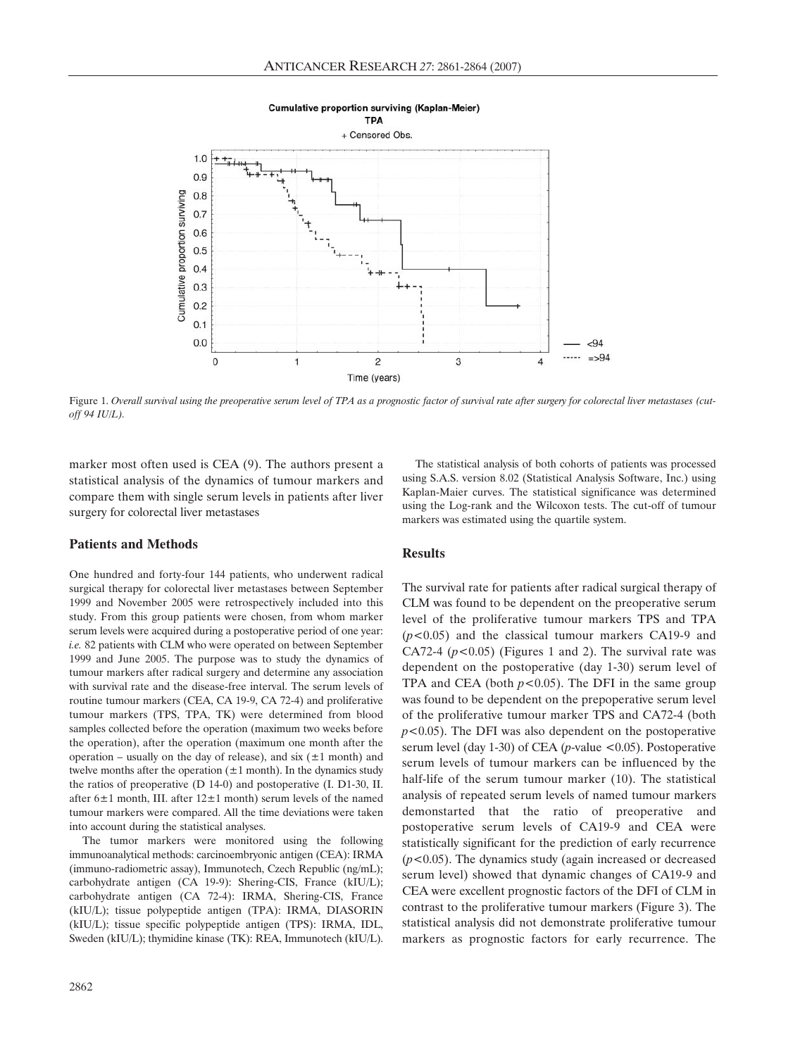

#### **Cumulative proportion surviving (Kaplan-Meier)**

Figure 1. *Overall survival using the preoperative serum level of TPA as a prognostic factor of survival rate after surgery for colorectal liver metastases (cutoff 94 IU/L).* 

marker most often used is CEA (9). The authors present a statistical analysis of the dynamics of tumour markers and compare them with single serum levels in patients after liver surgery for colorectal liver metastases

## **Patients and Methods**

One hundred and forty-four 144 patients, who underwent radical surgical therapy for colorectal liver metastases between September 1999 and November 2005 were retrospectively included into this study. From this group patients were chosen, from whom marker serum levels were acquired during a postoperative period of one year: *i.e.* 82 patients with CLM who were operated on between September 1999 and June 2005. The purpose was to study the dynamics of tumour markers after radical surgery and determine any association with survival rate and the disease-free interval. The serum levels of routine tumour markers (CEA, CA 19-9, CA 72-4) and proliferative tumour markers (TPS, TPA, TK) were determined from blood samples collected before the operation (maximum two weeks before the operation), after the operation (maximum one month after the operation – usually on the day of release), and  $\sin (\pm 1 \text{ month})$  and twelve months after the operation  $(\pm 1 \text{ month})$ . In the dynamics study the ratios of preoperative (D 14-0) and postoperative (I. D1-30, II. after  $6\pm1$  month, III. after  $12\pm1$  month) serum levels of the named tumour markers were compared. All the time deviations were taken into account during the statistical analyses.

The tumor markers were monitored using the following immunoanalytical methods: carcinoembryonic antigen (CEA): IRMA (immuno-radiometric assay), Immunotech, Czech Republic (ng/mL); carbohydrate antigen (CA 19-9): Shering-CIS, France (kIU/L); carbohydrate antigen (CA 72-4): IRMA, Shering-CIS, France (kIU/L); tissue polypeptide antigen (TPA): IRMA, DIASORIN (kIU/L); tissue specific polypeptide antigen (TPS): IRMA, IDL, Sweden (kIU/L); thymidine kinase (TK): REA, Immunotech (kIU/L).

The statistical analysis of both cohorts of patients was processed using S.A.S. version 8.02 (Statistical Analysis Software, Inc.) using Kaplan-Maier curves. The statistical significance was determined using the Log-rank and the Wilcoxon tests. The cut-off of tumour markers was estimated using the quartile system.

## **Results**

The survival rate for patients after radical surgical therapy of CLM was found to be dependent on the preoperative serum level of the proliferative tumour markers TPS and TPA (*p<*0.05) and the classical tumour markers CA19-9 and CA72-4 (*p<*0.05) (Figures 1 and 2). The survival rate was dependent on the postoperative (day 1-30) serum level of TPA and CEA (both  $p < 0.05$ ). The DFI in the same group was found to be dependent on the prepoperative serum level of the proliferative tumour marker TPS and CA72-4 (both *p<*0.05). The DFI was also dependent on the postoperative serum level (day 1-30) of CEA (*p*-value <0.05). Postoperative serum levels of tumour markers can be influenced by the half-life of the serum tumour marker (10). The statistical analysis of repeated serum levels of named tumour markers demonstarted that the ratio of preoperative and postoperative serum levels of CA19-9 and CEA were statistically significant for the prediction of early recurrence (*p<*0.05). The dynamics study (again increased or decreased serum level) showed that dynamic changes of CA19-9 and CEA were excellent prognostic factors of the DFI of CLM in contrast to the proliferative tumour markers (Figure 3). The statistical analysis did not demonstrate proliferative tumour markers as prognostic factors for early recurrence. The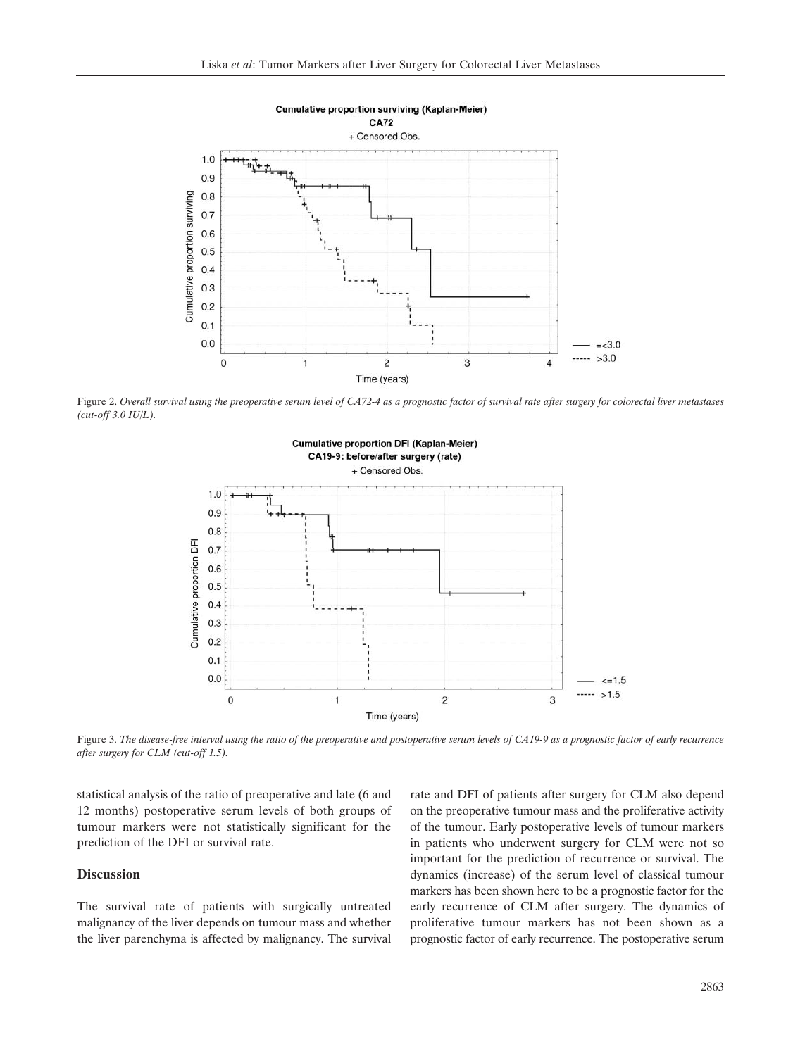

Figure 2. *Overall survival using the preoperative serum level of CA72-4 as a prognostic factor of survival rate after surgery for colorectal liver metastases (cut-off 3.0 IU/L).* 



Figure 3. *The disease-free interval using the ratio of the preoperative and postoperative serum levels of CA19-9 as a prognostic factor of early recurrence after surgery for CLM (cut-off 1.5).*

statistical analysis of the ratio of preoperative and late (6 and 12 months) postoperative serum levels of both groups of tumour markers were not statistically significant for the prediction of the DFI or survival rate.

## **Discussion**

The survival rate of patients with surgically untreated malignancy of the liver depends on tumour mass and whether the liver parenchyma is affected by malignancy. The survival rate and DFI of patients after surgery for CLM also depend on the preoperative tumour mass and the proliferative activity of the tumour. Early postoperative levels of tumour markers in patients who underwent surgery for CLM were not so important for the prediction of recurrence or survival. The dynamics (increase) of the serum level of classical tumour markers has been shown here to be a prognostic factor for the early recurrence of CLM after surgery. The dynamics of proliferative tumour markers has not been shown as a prognostic factor of early recurrence. The postoperative serum